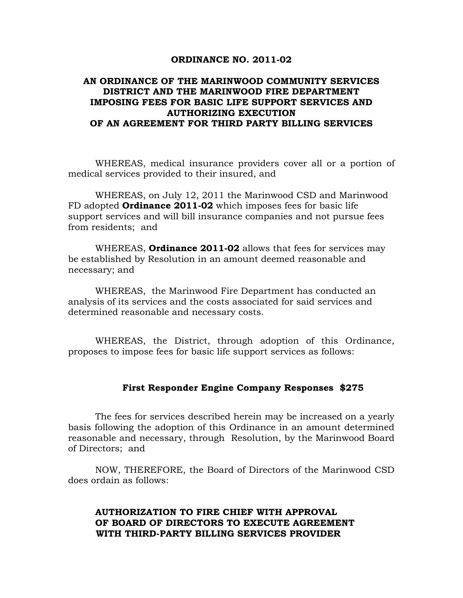#### **ORDINANCE NO. 2011-02**

# **AN ORDINANCE OF THE MARINWOOD COMMUNITY SERVICES DISTRICT AND THE MARINWOOD FIRE DEPARTMENT IMPOSING FEES FOR BASIC LIFE SUPPORT SERVICES AND AUTHORIZING EXECUTION OF AN AGREEMENT FOR THIRD PARTY BILLING SERVICES**

WHEREAS, medical insurance providers cover all or a portion of medical services provided to their insured, and

WHEREAS, on July 12, 2011 the Marinwood CSD and Marinwood FD adopted **Ordinance 2011-02** which imposes fees for basic life support services and will bill insurance companies and not pursue fees from residents; and

WHEREAS, **Ordinance 2011-02** allows that fees for services may be established by Resolution in an amount deemed reasonable and necessary; and

WHEREAS, the Marinwood Fire Department has conducted an analysis of its services and the costs associated for said services and determined reasonable and necessary costs.

WHEREAS, the District, through adoption of this Ordinance, proposes to impose fees for basic life support services as follows:

### **First Responder Engine Company Responses \$275**

 The fees for services described herein may be increased on a yearly basis following the adoption of this Ordinance in an amount determined reasonable and necessary, through Resolution, by the Marinwood Board of Directors; and

NOW, THEREFORE, the Board of Directors of the Marinwood CSD does ordain as follows:

## **AUTHORIZATION TO FIRE CHIEF WITH APPROVAL OF BOARD OF DIRECTORS TO EXECUTE AGREEMENT WITH THIRD-PARTY BILLING SERVICES PROVIDER**